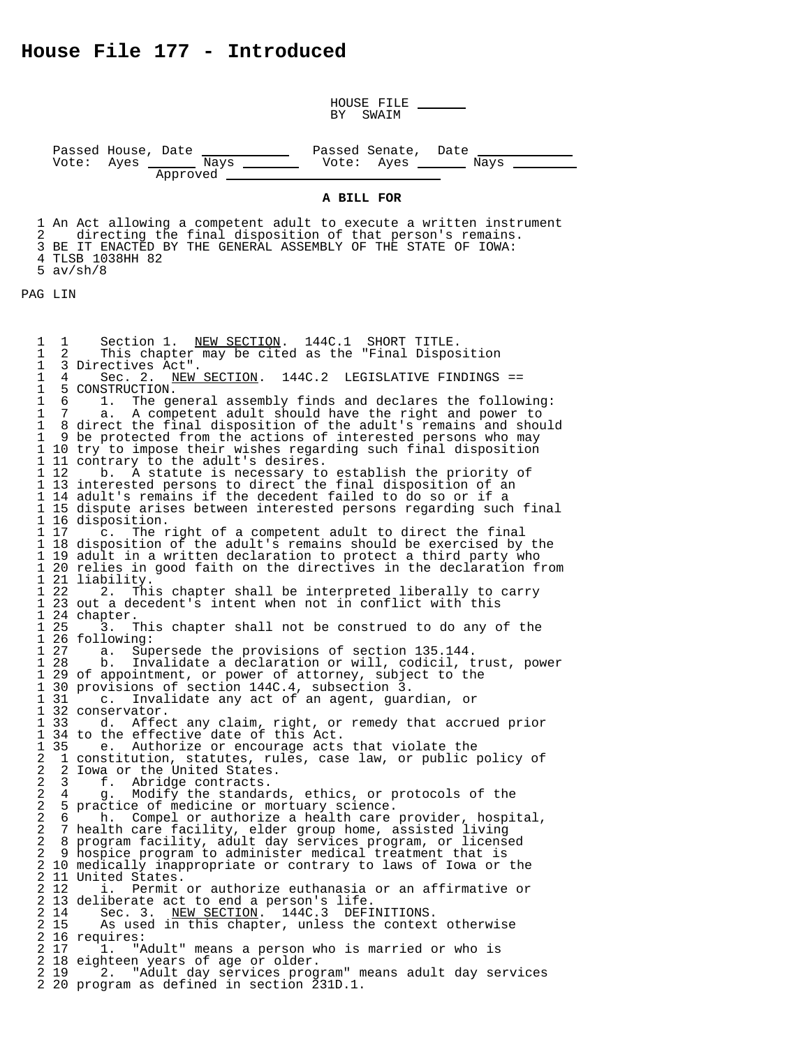HOUSE FILE<br>BY SWAIM

Passed House, Date <u>Nays Consect Senate, Date Nays Nays Nays Nays Nays Nays Approved</u>

## **A BILL FOR**

1 An Act allowing a competent adult to execute a written instrument<br>2 directing the final disposition of that person's remains. directing the final disposition of that person's remains. 3 BE IT ENACTED BY THE GENERAL ASSEMBLY OF THE STATE OF IOWA: 4 TLSB 1038HH 82 5 av/sh/8

PAG LIN

1 1 Section 1. NEW SECTION. 144C.1 SHORT TITLE. 1 2 This chapter may be cited as the "Final Disposition 1 3 Directives Act". 1 4 Sec. 2. NEW SECTION. 144C.2 LEGISLATIVE FINDINGS ==<br>1 5 CONSTRUCTION. 1 4 Sec. 2. N<br>1 5 CONSTRUCTION.<br>1 6 1. The ge 1 6 1. The general assembly finds and declares the following:<br>1 7 a. A competent adult should have the right and power to 1 7 a. A competent adult should have the right and power to 1 8 direct the final disposition of the adult's remains and should 1 9 be protected from the actions of interested persons who may 1 10 try to impose their wishes regarding such final disposition 1 11 contrary to the adult's desires.<br>1 12 b. A statute is necessary to b. A statute is necessary to establish the priority of 1 13 interested persons to direct the final disposition of an 1 14 adult's remains if the decedent failed to do so or if a 1 15 dispute arises between interested persons regarding such final 1 16 disposition.<br>1 17 c. The r c. The right of a competent adult to direct the final 1 18 disposition of the adult's remains should be exercised by the 1 19 adult in a written declaration to protect a third party who 1 20 relies in good faith on the directives in the declaration from 1 21 liability. 2. This chapter shall be interpreted liberally to carry 1 23 out a decedent's intent when not in conflict with this 1 24 chapter. 3. This chapter shall not be construed to do any of the 1 26 following:<br>1 27 a. Sup 1 27 a. Supersede the provisions of section 135.144. 1 28 b. Invalidate a declaration or will, codicil, trust, power<br>1 29 of appointment, or power of attorney, subject to the 1 29 of appointment, or power of attorney, subject to the 1 30 provisions of section 144C.4, subsection 3. 1 31 c. Invalidate any act of an agent, guardian, or 1 32 conservator.<br>1 33 d. Affec d. Affect any claim, right, or remedy that accrued prior 1 34 to the effective date of this Act.<br>1 35 e. Authorize or encourage acts 1 35 e. Authorize or encourage acts that violate the<br>2 1 constitution, statutes, rules, case law, or public i 2 1 constitution, statutes, rules, case law, or public policy of 2 2 Iowa or the United States.<br>2 3 f. Abridge contracts. 2 3 f. Abridge contracts. 2 4 g. Modify the standards, ethics, or protocols of the 2 5 practice of medicine or mortuary science.<br>2 6 h. Compel or authorize a health care 2 6 h. Compel or authorize a health care provider, hospital,<br>2 7 health care facility, elder group home, assisted living 2 7 health care facility, elder group home, assisted living 2 8 program facility, adult day services program, or licensed 2 9 hospice program to administer medical treatment that is 2 10 medically inappropriate or contrary to laws of Iowa or the 2 11 United States.<br>2 12 i. Permit i. Permit or authorize euthanasia or an affirmative or 2 13 deliberate act to end a person's life. 2 14 Sec. 3. NEW SECTION. 144C.3 DEFINITIONS. 2 15 As used in this chapter, unless the context otherwise 2 16 requires:<br>2 17 1. "A 2 17 1. "Adult" means a person who is married or who is 2 18 eighteen years of age or older. 2 19 2. "Adult day services program" means adult day services 2 20 program as defined in section 231D.1.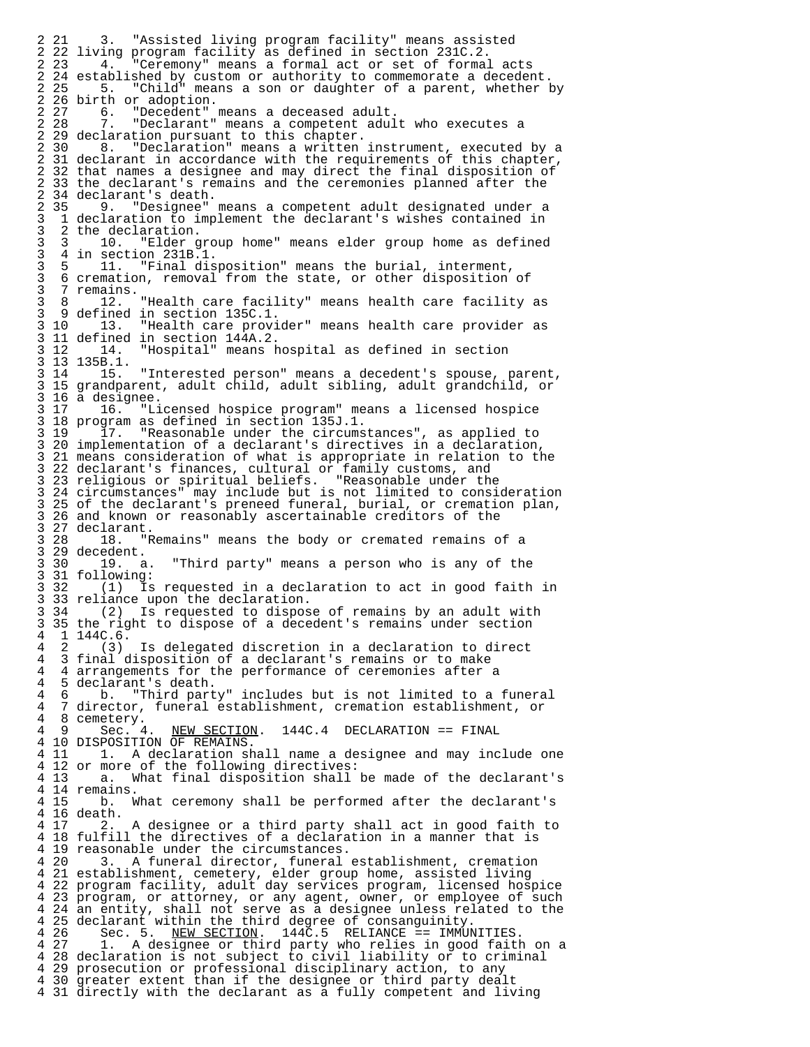2 21 3. "Assisted living program facility" means assisted 2 22 living program facility as defined in section 231C.2.<br>2 23 4. "Ceremony" means a formal act or set of formal "Ceremony" means a formal act or set of formal acts 2 24 established by custom or authority to commemorate a decedent. 2 25 5. "Child" means a son or daughter of a parent, whether by 2 26 birth or adoption.<br>2 27 6. "Decedent" 2 27 6. "Decedent" means a deceased adult. 2 28 7. "Declarant" means a competent adult who executes a 2 29 declaration pursuant to this chapter. 2 30 8. "Declaration" means a written instrument, executed by a 2 31 declarant in accordance with the requirements of this chapter, 2 32 that names a designee and may direct the final disposition of 2 33 the declarant's remains and the ceremonies planned after the 2 34 declarant's death.<br>2 35 9. "Designee" 2 35 9. "Designee" means a competent adult designated under a 3 1 declaration to implement the declarant's wishes contained in 3 2 the declaration.<br>3 3 10. "Elder g 3 3 10. "Elder group home" means elder group home as defined 3 4 in section 231B.1. 3 5 11. "Final disposition" means the burial, interment, 3 6 cremation, removal from the state, or other disposition of<br>3 7 remains. 3 7 remains. 3 8 12. "Health care facility" means health care facility as 3 9 defined in section 135C.1. 3 10 13. "Health care provider" means health care provider as 3 11 defined in section 144A.2. "Hospital" means hospital as defined in section 3 13 135B.1.<br>3 14 15. "Interested person" means a decedent's spouse, parent, 3 15 grandparent, adult child, adult sibling, adult grandchild, or 3 16 a designee.<br>3 17 16. "Li 3 17 16. "Licensed hospice program" means a licensed hospice 3 18 program as defined in section 135J.1.<br>3 19 17. "Reasonable under the circums 17. "Reasonable under the circumstances", as applied to 3 20 implementation of a declarant's directives in a declaration, 3 21 means consideration of what is appropriate in relation to the 3 22 declarant's finances, cultural or family customs, and 3 23 religious or spiritual beliefs. "Reasonable under the 3 24 circumstances" may include but is not limited to consideration 3 25 of the declarant's preneed funeral, burial, or cremation plan,<br>3 26 and known or reasonably ascertainable creditors of the 3 26 and known or reasonably ascertainable creditors of the 3 27 declarant. "Remains" means the body or cremated remains of a 3 29 decedent.<br>3 30 19. a. "Third party" means a person who is any of the 3 31 following: 3 32 (1) Is requested in a declaration to act in good faith in 3 33 reliance upon the declaration.<br>3 34 (2) Is requested to dispos  $(2)$  Is requested to dispose of remains by an adult with 3 35 the right to dispose of a decedent's remains under section  $\begin{bmatrix} 4 & 1 & 144C & 6 \\ 4 & 2 & (3) \end{bmatrix}$ 4 2 (3) Is delegated discretion in a declaration to direct<br>4 3 final disposition of a declarant's remains or to make 4 3 final disposition of a declarant's remains or to make<br>4 4 arrangements for the performance of ceremonies after 4 4 arrangements for the performance of ceremonies after a 4 5 declarant's death.<br>4 6 b. "Third part 4 6 b. "Third party" includes but is not limited to a funeral 4 7 director, funeral establishment, cremation establishment, or  $\begin{array}{cc} 4 & 8 \text{ cemetery.} \\ 4 & 9 \text{ Sec. } 4. \end{array}$ NEW SECTION. 144C.4 DECLARATION == FINAL 4 10 DISPOSITION OF REMAINS.<br>4 11 1. A declaration sh 1. A declaration shall name a designee and may include one 4 12 or more of the following directives: a. What final disposition shall be made of the declarant's 4 14 remains. b. What ceremony shall be performed after the declarant's 4 16 death. A designee or a third party shall act in good faith to 4 18 fulfill the directives of a declaration in a manner that is 4 19 reasonable under the circumstances. 3. A funeral director, funeral establishment, cremation 4 21 establishment, cemetery, elder group home, assisted living 4 22 program facility, adult day services program, licensed hospice 4 23 program, or attorney, or any agent, owner, or employee of such 4 24 an entity, shall not serve as a designee unless related to the 4 25 declarant within the third degree of consanguinity.<br>4 26 Sec. 5. NEW SECTION. 144C.5 RELIANCE == IMMUI 4 26 Sec. 5. NEW SECTION. 144C.5 RELIANCE == IMMUNITIES.<br>4 27 1. A designee or third party who relies in good faith 4 27 1. A designee or third party who relies in good faith on a 4 28 declaration is not subject to civil liability or to criminal<br>4 29 prosecution or professional disciplinary action, to any 4 29 prosecution or professional disciplinary action, to any 4 30 greater extent than if the designee or third party dealt 4 31 directly with the declarant as a fully competent and living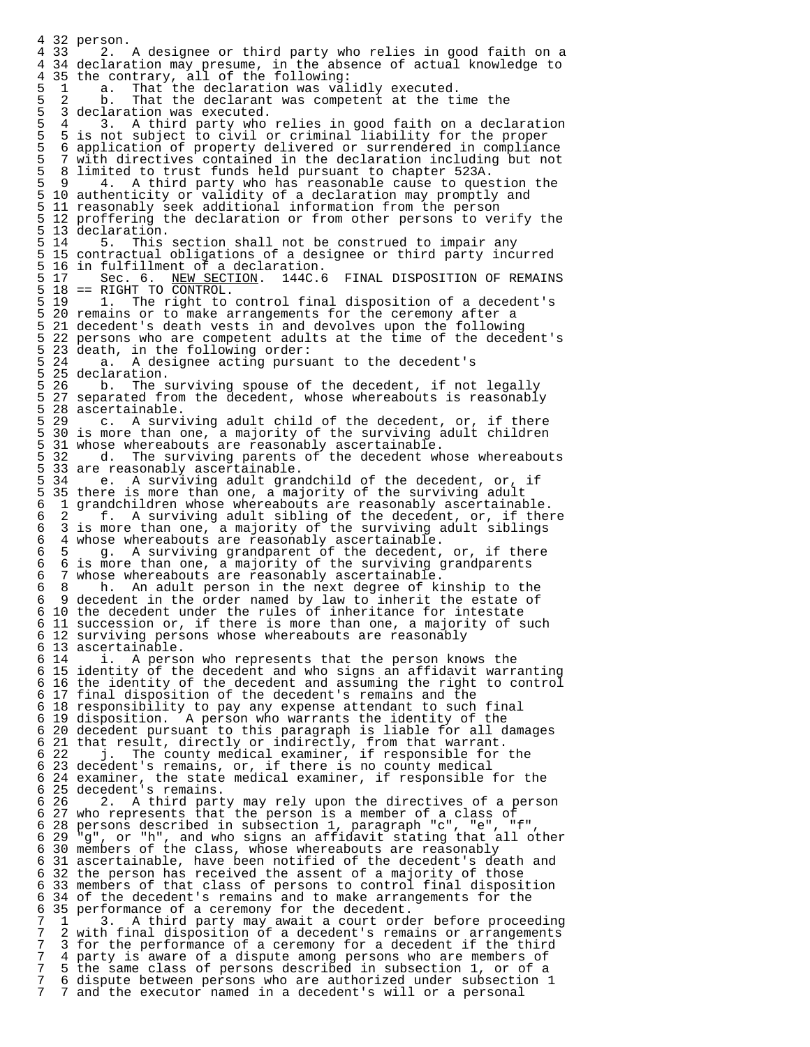4 32 person. 2. A designee or third party who relies in good faith on a 4 34 declaration may presume, in the absence of actual knowledge to 4 35 the contrary, all of the following: 5 1 a. That the declaration was validly executed. 5 2 b. That the declarant was competent at the time the 5 3 declaration was executed.<br>5 4 3. A third party who 5 4 3. A third party who relies in good faith on a declaration<br>5 5 is not subject to civil or criminal liability for the proper 5 5 is not subject to civil or criminal liability for the proper 5 6 application of property delivered or surrendered in compliance 5 7 with directives contained in the declaration including but not 5 8 limited to trust funds held pursuant to chapter 523A. 5 9 4. A third party who has reasonable cause to question the<br>5 10 authenticity or validity of a declaration may promptly and 5 10 authenticity or validity of a declaration may promptly and 5 11 reasonably seek additional information from the person 5 12 proffering the declaration or from other persons to verify the 5 13 declaration. 5. This section shall not be construed to impair any 5 15 contractual obligations of a designee or third party incurred 5 16 in fulfillment of a declaration.<br>5 17 Sec. 6. NEW SECTION. 144C.6 Sec. 6. NEW SECTION. 144C.6 FINAL DISPOSITION OF REMAINS  $5 \t18 = RIGHT TO CONTROL.$ <br> $5 \t19 \t1. The right to$ 5 19 1. The right to control final disposition of a decedent's<br>5 20 remains or to make arrangements for the ceremony after a 5 20 remains or to make arrangements for the ceremony after a<br>5 21 decedent's death vests in and devolves upon the following 21 decedent's death vests in and devolves upon the following 5 22 persons who are competent adults at the time of the decedent's 5 23 death, in the following order:<br>5 24 a. A designee acting pursu A designee acting pursuant to the decedent's 5 25 declaration.<br>5 26 b. The s 5 26 b. The surviving spouse of the decedent, if not legally<br>5 27 separated from the decedent, whose whereabouts is reasonably 5 27 separated from the decedent, whose whereabouts is reasonably 5 28 ascertainable.<br>5 29 c. A survi c. A surviving adult child of the decedent, or, if there 5 30 is more than one, a majority of the surviving adult children 5 31 whose whereabouts are reasonably ascertainable. 5 32 d. The surviving parents of the decedent whose whereabouts 5 33 are reasonably ascertainable.<br>5 34 e. A surviving adult gran e. A surviving adult grandchild of the decedent, or, if 5 35 there is more than one, a majority of the surviving adult<br>6 1 qrandchildren whose whereabouts are reasonably ascertainab 6 1 grandchildren whose whereabouts are reasonably ascertainable. 6 2 f. A surviving adult sibling of the decedent, or, if there 6 3 is more than one, a majority of the surviving adult siblings 6 4 whose whereabouts are reasonably ascertainable.<br>6 5  $\alpha$ , A surviving grandparent of the decedent. 6 5 g. A surviving grandparent of the decedent, or, if there 6 6 is more than one, a majority of the surviving grandparents 6 7 whose whereabouts are reasonably ascertainable. 6 8 h. An adult person in the next degree of kinship to the 6 9 decedent in the order named by law to inherit the estate of 6 10 the decedent under the rules of inheritance for intestate 6 11 succession or, if there is more than one, a majority of such 6 12 surviving persons whose whereabouts are reasonably 6 13 ascertainable. i. A person who represents that the person knows the 6 15 identity of the decedent and who signs an affidavit warranting 6 16 the identity of the decedent and assuming the right to control 6 17 final disposition of the decedent's remains and the 6 18 responsibility to pay any expense attendant to such final 6 19 disposition. A person who warrants the identity of the 6 20 decedent pursuant to this paragraph is liable for all damages 6 21 that result, directly or indirectly, from that warrant. 6 22 j. The county medical examiner, if responsible for the 6 23 decedent's remains, or, if there is no county medical 6 24 examiner, the state medical examiner, if responsible for the 6 25 decedent's remains. 6 26 2. A third party may rely upon the directives of a person 6 27 who represents that the person is a member of a class of 6 28 persons described in subsection 1, paragraph "c", "e", "f", 6 29 "g", or "h", and who signs an affidavit stating that all other 6 30 members of the class, whose whereabouts are reasonably 6 31 ascertainable, have been notified of the decedent's death and 6 32 the person has received the assent of a majority of those 6 33 members of that class of persons to control final disposition 6 34 of the decedent's remains and to make arrangements for the 6 35 performance of a ceremony for the decedent. 7 1 3. A third party may await a court order before proceeding 7 2 with final disposition of a decedent's remains or arrangements 7 3 for the performance of a ceremony for a decedent if the third 7 4 party is aware of a dispute among persons who are members of 7 5 the same class of persons described in subsection 1 or of a 7 5 the same class of persons described in subsection 1, or of a 7 6 dispute between persons who are authorized under subsection 1 7 and the executor named in a decedent's will or a personal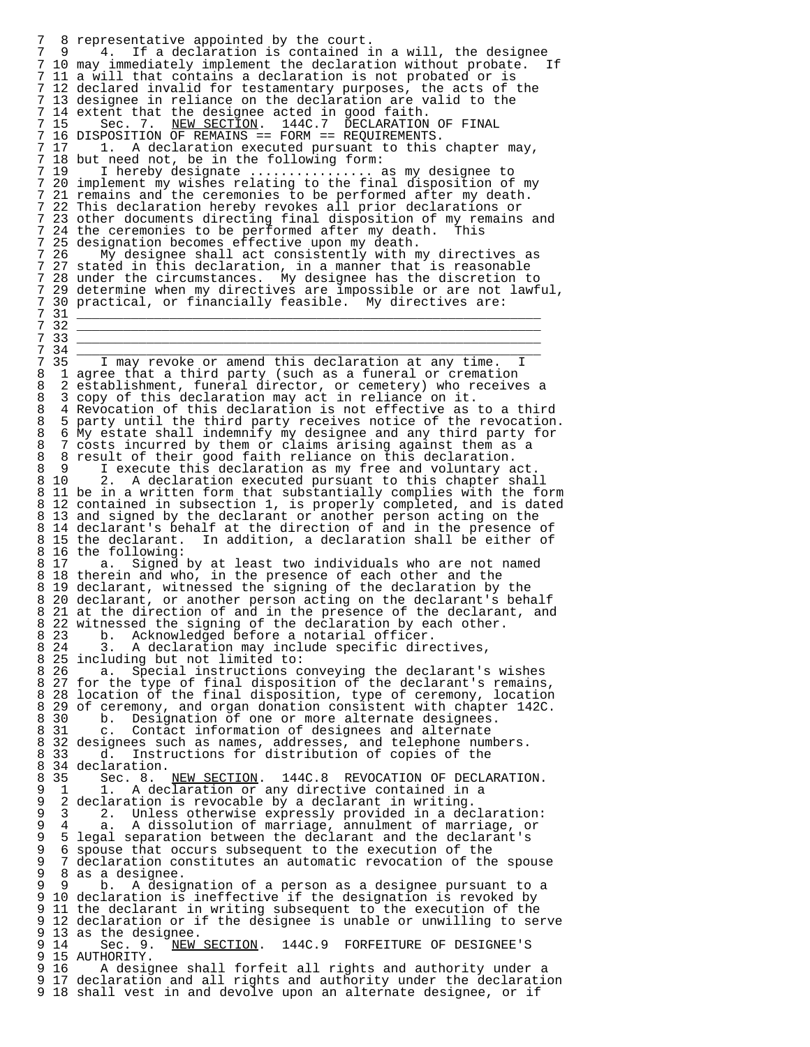7 8 representative appointed by the court.<br>7 9 14. If a declaration is contained i 4. If a declaration is contained in a will, the designee<br>v immediately implement the declaration without probate. If 7 10 may immediately implement the declaration without probate.<br>7 11 a will that contains a declaration is not probated or is 11 a will that contains a declaration is not probated or is 7 12 declared invalid for testamentary purposes, the acts of the 7 13 designee in reliance on the declaration are valid to the 7 14 extent that the designee acted in good faith. 7 15 Sec. 7. NEW SECTION. 144C.7 DECLARATION OF FINAL 7 16 DISPOSITION OF REMAINS == FORM == REQUIREMENTS. 1. A declaration executed pursuant to this chapter may, 7 18 but need not, be in the following form: I hereby designate ................ as my designee to 7 20 implement my wishes relating to the final disposition of my 7 21 remains and the ceremonies to be performed after my death.<br>7 22 This declaration hereby revokes all prior declarations or 22 This declaration hereby revokes all prior declarations or 7 23 other documents directing final disposition of my remains and<br>7 24 the ceremonies to be performed after my death. This 24 the ceremonies to be performed after my death. 7 25 designation becomes effective upon my death. 7 26 My designee shall act consistently with my directives as<br>7 27 stated in this declaration, in a manner that is reasonable 27 stated in this declaration, in a manner that is reasonable 7 28 under the circumstances. My designee has the discretion to 7 29 determine when my directives are impossible or are not lawful, 7 30 practical, or financially feasible. My directives are: 7 31 \_\_\_\_\_\_\_\_\_\_\_\_\_\_\_\_\_\_\_\_\_\_\_\_\_\_\_\_\_\_\_\_\_\_\_\_\_\_\_\_\_\_\_\_\_\_\_\_\_\_\_\_\_\_\_\_\_\_\_\_ 7 32 \_\_\_\_\_\_\_\_\_\_\_\_\_\_\_\_\_\_\_\_\_\_\_\_\_\_\_\_\_\_\_\_\_\_\_\_\_\_\_\_\_\_\_\_\_\_\_\_\_\_\_\_\_\_\_\_\_\_\_\_ 7 33 \_\_\_\_\_\_\_\_\_\_\_\_\_\_\_\_\_\_\_\_\_\_\_\_\_\_\_\_\_\_\_\_\_\_\_\_\_\_\_\_\_\_\_\_\_\_\_\_\_\_\_\_\_\_\_\_\_\_\_\_ 7 34 \_\_\_\_\_\_\_\_\_\_\_\_\_\_\_\_\_\_\_\_\_\_\_\_\_\_\_\_\_\_\_\_\_\_\_\_\_\_\_\_\_\_\_\_\_\_\_\_\_\_\_\_\_\_\_\_\_\_\_\_ 7 35 I may revoke or amend this declaration at any time. I 8 1 agree that a third party (such as a funeral or cremation 8 2 establishment, funeral director, or cemetery) who receives a 8 3 copy of this declaration may act in reliance on it. 8 4 Revocation of this declaration is not effective as to a third<br>8 5 party until the third party receives notice of the revocation 8 5 party until the third party receives notice of the revocation. 8 6 My estate shall indemnify my designee and any third party for 8 7 costs incurred by them or claims arising against them as a 8 8 result of their good faith reliance on this declaration.<br>8 9 1 execute this declaration as my free and voluntary a 8 9 I execute this declaration as my free and voluntary act<br>8 10 2. A declaration executed pursuant to this chapter sha 2. A declaration executed pursuant to this chapter shall 8 11 be in a written form that substantially complies with the form 8 12 contained in subsection 1, is properly completed, and is dated 8 13 and signed by the declarant or another person acting on the 8 14 declarant's behalf at the direction of and in the presence of 8 15 the declarant. In addition, a declaration shall be either of 8 16 the following:<br>8 17 a. Signed a. Signed by at least two individuals who are not named 8 18 therein and who, in the presence of each other and the 8 19 declarant, witnessed the signing of the declaration by the 8 20 declarant, or another person acting on the declarant's behalf 8 21 at the direction of and in the presence of the declarant, and 8 22 witnessed the signing of the declaration by each other.<br>8 23 b. Acknowledged before a notarial officer. 8 23 b. Acknowledged before a notarial officer.<br>8 24 3. A declaration may include specific dire A declaration may include specific directives, 8 25 including but not limited to:<br>8 26 a. Special instructions c 8 26 a. Special instructions conveying the declarant's wishes 8 27 for the type of final disposition of the declarant's remains, 8 28 location of the final disposition, type of ceremony, location 8 29 of ceremony, and organ donation consistent with chapter 142C.<br>8 30 b. Designation of one or more alternate designees. 8 30 b. Designation of one or more alternate designees. 8 31 c. Contact information of designees and alternate 8 32 designees such as names, addresses, and telephone numbers.<br>8 33 d. Instructions for distribution of copies of the 8 33 d. Instructions for distribution of copies of the 8 34 declaration.<br>8 35 Sec. 8. 8 35 Sec. 8. NEW SECTION. 144C.8 REVOCATION OF DECLARATION.<br>9 1 1. A declaration or any directive contained in a 9 1 1. A declaration or any directive contained in a<br>9 2 declaration is revocable by a declarant in writing. 9 2 declaration is revocable by a declarant in writing. 9 3 2. Unless otherwise expressly provided in a declaration: 9 4 a. A dissolution of marriage, annulment of marriage, or 9 5 legal separation between the declarant and the declarant's<br>9 6 spouse that occurs subsequent to the execution of the 9 6 spouse that occurs subsequent to the execution of the 9 7 declaration constitutes an automatic revocation of the spouse 9 8 as a designee.<br>9 9 b. A designee b. A designation of a person as a designee pursuant to a 9 10 declaration is ineffective if the designation is revoked by 9 11 the declarant in writing subsequent to the execution of the<br>9 12 declaration or if the designee is unable or unwilling to se: 12 declaration or if the designee is unable or unwilling to serve 9 13 as the designee.<br>9 14 Sec. 9. NEW 9 14 Sec. 9. NEW SECTION. 144C.9 FORFEITURE OF DESIGNEE'S<br>9 15 AUTHORITY. 9 15 AUTHORITY.<br>9 16 A desig A designee shall forfeit all rights and authority under a 9 17 declaration and all rights and authority under the declaration 9 18 shall vest in and devolve upon an alternate designee, or if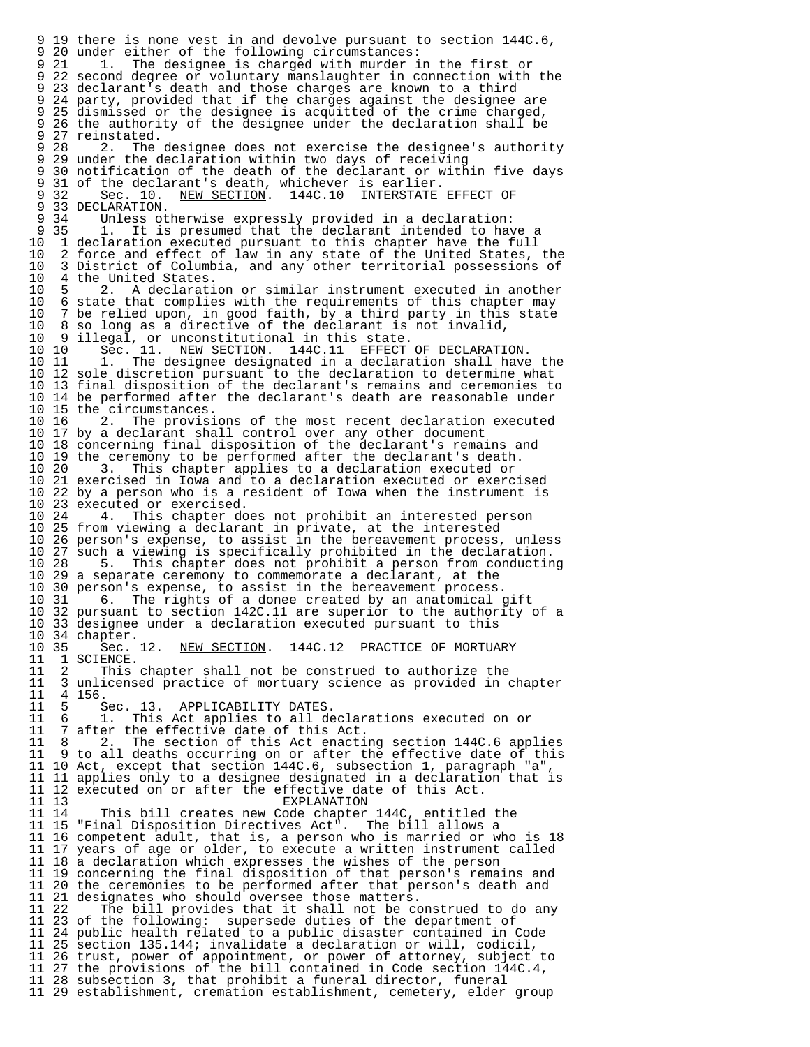9 19 there is none vest in and devolve pursuant to section 144C.6, 9 20 under either of the following circumstances:<br>9 21 1. The designee is charged with murder i The designee is charged with murder in the first or 9 22 second degree or voluntary manslaughter in connection with the 9 23 declarant's death and those charges are known to a third 9 24 party, provided that if the charges against the designee are 9 25 dismissed or the designee is acquitted of the crime charged, 9 26 the authority of the designee under the declaration shall be 9 27 reinstated.<br>9 28 2. The The designee does not exercise the designee's authority 9 29 under the declaration within two days of receiving 9 30 notification of the death of the declarant or within five days 9 31 of the declarant's death, whichever is earlier.<br>9 32 Sec. 10. NEW SECTION. 144C.10 INTERSTATE NEW SECTION. 144C.10 INTERSTATE EFFECT OF 9 33 DECLARATION.<br>9 34 Unless ot 9 34 Unless otherwise expressly provided in a declaration: 9 35 1. It is presumed that the declarant intended to have a<br>10 1 declaration executed pursuant to this chapter have the full 10 1 declaration executed pursuant to this chapter have the full<br>10 2 force and effect of law in any state of the United States, 10 2 force and effect of law in any state of the United States, the<br>10 3 District of Columbia, and any other territorial possessions of 10 3 District of Columbia, and any other territorial possessions of 10 4 the United States.<br>10 5 2. A declarati 10 5 2. A declaration or similar instrument executed in another<br>10 6 state that complies with the requirements of this chapter may 10 6 state that complies with the requirements of this chapter may<br>10 7 be relied upon, in good faith, by a third party in this state 10 7 be relied upon, in good faith, by a third party in this state 10 8 so long as a directive of the declarant is not invalid, 10 9 illegal, or unconstitutional in this state. 10 10 Sec. 11. NEW SECTION. 144C.11 EFFECT OF DECLARATION. 10 11 1. The designee designated in a declaration shall have the 10 12 sole discretion pursuant to the declaration to determine what 10 13 final disposition of the declarant's remains and ceremonies to 10 14 be performed after the declarant's death are reasonable under 10 15 the circumstances.<br>10 16 2. The provisi 2. The provisions of the most recent declaration executed 10 17 by a declarant shall control over any other document 10 18 concerning final disposition of the declarant's remains and 10 19 the ceremony to be performed after the declarant's death.<br>10 20 3. This chapter applies to a declaration executed or This chapter applies to a declaration executed or 10 21 exercised in Iowa and to a declaration executed or exercised 10 22 by a person who is a resident of Iowa when the instrument is 10 23 executed or exercised. 10 24 4. This chapter does not prohibit an interested person 10 25 from viewing a declarant in private, at the interested 10 26 person's expense, to assist in the bereavement process, unless 10 27 such a viewing is specifically prohibited in the declaration.<br>10 28 5. This chapter does not prohibit a person from conductin 5. This chapter does not prohibit a person from conducting 10 29 a separate ceremony to commemorate a declarant, at the 10 30 person's expense, to assist in the bereavement process.<br>10 31 6. The rights of a donee created by an anatomical 6. The rights of a donee created by an anatomical gift 10 32 pursuant to section 142C.11 are superior to the authority of a 10 33 designee under a declaration executed pursuant to this 10 34 chapter.<br>10 35 Sec. 12. 10 35 Sec. 12. NEW SECTION. 144C.12 PRACTICE OF MORTUARY 11 1 SCIENCE. 11 1 SCIENCE.<br>11 2 This 11 2 This chapter shall not be construed to authorize the 11 3 unlicensed practice of mortuary science as provided in chapter 11 4 156.<br>11 5 S 11 5 Sec. 13. APPLICABILITY DATES.<br>11 6 1. This Act applies to all de 11 6 1. This Act applies to all declarations executed on or<br>11 7 after the effective date of this Act. 11 7 after the effective date of this Act.<br>11 8 2. The section of this Act enacti 11 8 2. The section of this Act enacting section 144C.6 applies<br>11 9 to all deaths occurring on or after the effective date of this to all deaths occurring on or after the effective date of this 11 10 Act, except that section 144C.6, subsection 1, paragraph "a", 11 11 applies only to a designee designated in a declaration that is 11 12 executed on or after the effective date of this Act. 11 13 EXPLANATION 11 14 This bill creates new Code chapter 144C, entitled the 11 15 "Final Disposition Directives Act". The bill allows a 11 16 competent adult, that is, a person who is married or who is 18 11 17 years of age or older, to execute a written instrument called 11 18 a declaration which expresses the wishes of the person 11 19 concerning the final disposition of that person's remains and 11 20 the ceremonies to be performed after that person's death and 11 21 designates who should oversee those matters.<br>11 22 The bill provides that it shall not be co 11 22 The bill provides that it shall not be construed to do any 23 of the following: supersede duties of the department of 11 24 public health related to a public disaster contained in Code 11 25 section 135.144; invalidate a declaration or will, codicil, 11 26 trust, power of appointment, or power of attorney, subject to 11 27 the provisions of the bill contained in Code section 144C.4, 11 28 subsection 3, that prohibit a funeral director, funeral 11 29 establishment, cremation establishment, cemetery, elder group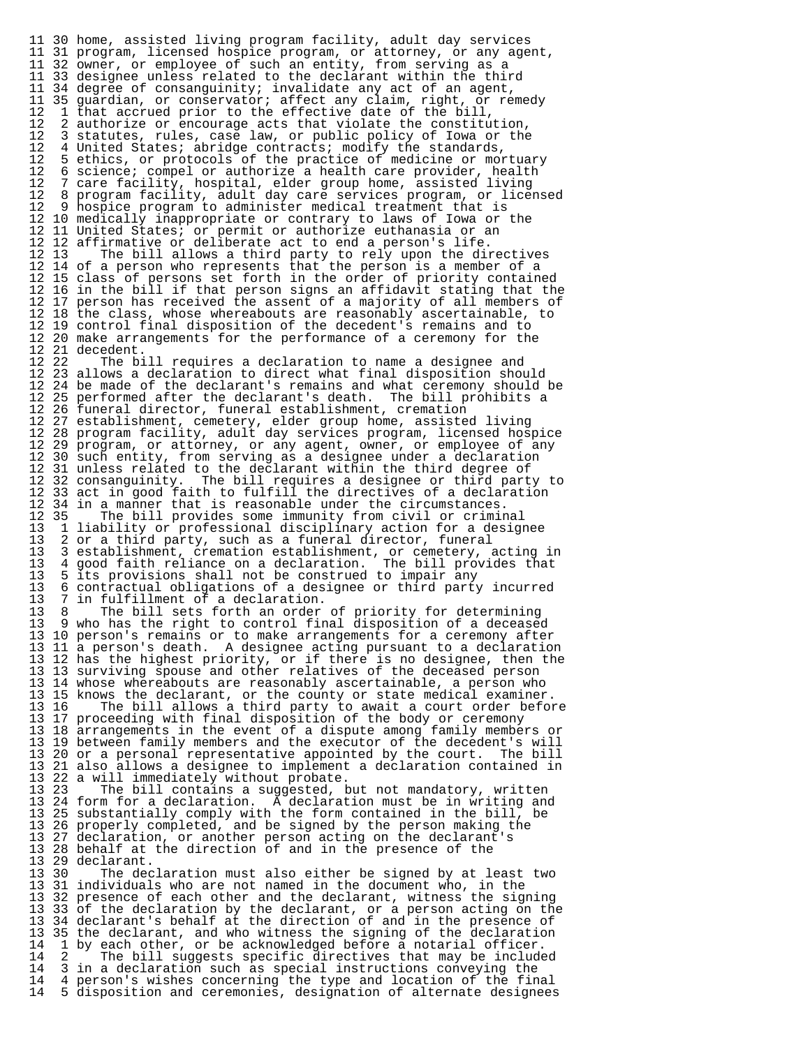11 30 home, assisted living program facility, adult day services 11 31 program, licensed hospice program, or attorney, or any agent, 11 32 owner, or employee of such an entity, from serving as a<br>11 33 designee unless related to the declarant within the thip 11 33 designee unless related to the declarant within the third 11 34 degree of consanguinity; invalidate any act of an agent, 11 35 guardian, or conservator; affect any claim, right, or remedy<br>12 1 that accrued prior to the effective date of the bill, 12 1 that accrued prior to the effective date of the bill, 12 2 authorize or encourage acts that violate the constitution,<br>12 3 statutes, rules, case law, or public policy of Iowa or the 12 3 statutes, rules, case law, or public policy of Iowa or the<br>12 4 United States; abridge contracts; modify the standards. 12 4 United States; abridge contracts; modify the standards,<br>12 5 ethics, or protocols of the practice of medicine or mom 12 5 ethics, or protocols of the practice of medicine or mortuary<br>12 6 science; compel or authorize a health care provider, health 12 6 science; compel or authorize a health care provider, health<br>12 7 care facility, hospital, elder group home, assisted living 12 7 care facility, hospital, elder group home, assisted living<br>12 8 program facility, adult day care services program, or lice 12 8 program facility, adult day care services program, or licensed<br>12 9 hospice program to administer medical treatment that is 12 9 hospice program to administer medical treatment that is 12 10 medically inappropriate or contrary to laws of Iowa or the 12 11 United States; or permit or authorize euthanasia or an 12 12 affirmative or deliberate act to end a person's life. The bill allows a third party to rely upon the directives 12 14 of a person who represents that the person is a member of a 12 15 class of persons set forth in the order of priority contained 12 16 in the bill if that person signs an affidavit stating that the 12 17 person has received the assent of a majority of all members of 12 18 the class, whose whereabouts are reasonably ascertainable, to 12 19 control final disposition of the decedent's remains and to 12 20 make arrangements for the performance of a ceremony for the 12 21 decedent.<br>12 22 The bi The bill requires a declaration to name a designee and 12 23 allows a declaration to direct what final disposition should 12 24 be made of the declarant's remains and what ceremony should be 12 25 performed after the declarant's death. The bill prohibits a 12 26 funeral director, funeral establishment, cremation 12 27 establishment, cemetery, elder group home, assisted living 12 28 program facility, adult day services program, licensed hospice 12 29 program, or attorney, or any agent, owner, or employee of any 12 30 such entity, from serving as a designee under a declaration 12 31 unless related to the declarant within the third degree of<br>12 32 consanguinity. The bill requires a designee or third part The bill requires a designee or third party to 12 33 act in good faith to fulfill the directives of a declaration 12 34 in a manner that is reasonable under the circumstances.<br>12 35 The bill provides some immunity from civil or crimin 12 35 The bill provides some immunity from civil or criminal<br>13 1 liability or professional disciplinary action for a design 13 1 liability or professional disciplinary action for a designee 13 2 or a third party, such as a funeral director, funeral<br>13 3 establishment, cremation establishment, or cemetery, 13 3 establishment, cremation establishment, or cemetery, acting in 13 4 good faith reliance on a declaration. The bill provides that 13 5 its provisions shall not be construed to impair any 13 6 contractual obligations of a designee or third party 13 6 contractual obligations of a designee or third party incurred 13 7 in fulfillment of a declaration.<br>13 8 The bill sets forth an order 13 8 The bill sets forth an order of priority for determining<br>13 9 who has the right to control final disposition of a deceased 13 9 who has the right to control final disposition of a deceased 13 10 person's remains or to make arrangements for a ceremony after 13 11 a person's death. A designee acting pursuant to a declaration 13 12 has the highest priority, or if there is no designee, then the 13 13 surviving spouse and other relatives of the deceased person 13 14 whose whereabouts are reasonably ascertainable, a person who 13 15 knows the declarant, or the county or state medical examiner.<br>13 16 The bill allows a third party to await a court order befor The bill allows a third party to await a court order before 13 17 proceeding with final disposition of the body or ceremony 13 18 arrangements in the event of a dispute among family members or 13 19 between family members and the executor of the decedent's will 13 20 or a personal representative appointed by the court. The bill 13 21 also allows a designee to implement a declaration contained in 13 22 a will immediately without probate.<br>13 23 The bill contains a suggested, l The bill contains a suggested, but not mandatory, written 13 24 form for a declaration. A declaration must be in writing and 13 25 substantially comply with the form contained in the bill, be 13 26 properly completed, and be signed by the person making the 13 27 declaration, or another person acting on the declarant's 13 28 behalf at the direction of and in the presence of the 13 29 declarant. The declaration must also either be signed by at least two 13 31 individuals who are not named in the document who, in the 13 32 presence of each other and the declarant, witness the signing 13 33 of the declaration by the declarant, or a person acting on the 13 34 declarant's behalf at the direction of and in the presence of 13 35 the declarant, and who witness the signing of the declaration 14 1 by each other, or be acknowledged before a notarial officer.<br>14 2 The bill suggests specific directives that may be include 14 2 The bill suggests specific directives that may be included<br>14 3 in a declaration such as special instructions conveying the 14 3 in a declaration such as special instructions conveying the<br>14 4 person's wishes concerning the type and location of the fin 14 4 person's wishes concerning the type and location of the final<br>14 5 disposition and ceremonies, designation of alternate designees 14 5 disposition and ceremonies, designation of alternate designees